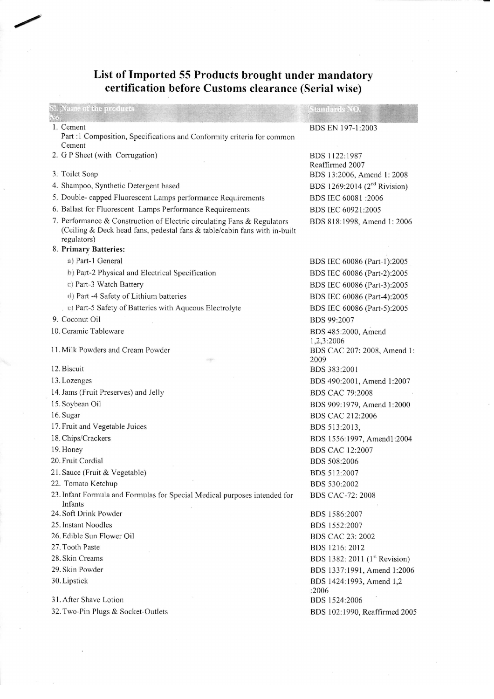## **List of Imported 55 Products brought under mandatory certification before Customs clearance (Serial wise)**

| SL Name of the profiners<br>i He                                                                                                                                    | Standards NO.                             |
|---------------------------------------------------------------------------------------------------------------------------------------------------------------------|-------------------------------------------|
| 1. Cement<br>Part :1 Composition, Specifications and Conformity criteria for common                                                                                 | BDS EN 197-1:2003                         |
| Cement<br>2. G P Sheet (with Corrugation)                                                                                                                           | BDS 1122:1987<br>Reaffirmed 2007          |
| 3. Toilet Soap                                                                                                                                                      | BDS 13:2006, Amend 1: 2008                |
| 4. Shampoo, Synthetic Detergent based                                                                                                                               | BDS 1269:2014 (2 <sup>nd</sup> Rivision)  |
| 5. Double- capped Fluorescent Lamps performance Requirements                                                                                                        | BDS IEC 60081:2006                        |
| 6. Ballast for Fluorescent Lamps Performance Requirements                                                                                                           | BDS IEC 60921:2005                        |
| 7. Performance & Construction of Electric circulating Fans & Regulators<br>(Ceiling & Deck head fans, pedestal fans & table/cabin fans with in-built<br>regulators) | BDS 818:1998, Amend 1: 2006               |
| 8. Primary Batteries:                                                                                                                                               |                                           |
| a) Part-1 General                                                                                                                                                   | BDS IEC 60086 (Part-1):2005               |
| b) Part-2 Physical and Electrical Specification                                                                                                                     | BDS IEC 60086 (Part-2):2005               |
| c) Part-3 Watch Battery                                                                                                                                             | BDS IEC 60086 (Part-3):2005               |
| d) Part -4 Safety of Lithium batteries                                                                                                                              | BDS IEC 60086 (Part-4):2005               |
| e) Part-5 Safety of Batteries with Aqueous Electrolyte                                                                                                              | BDS IEC 60086 (Part-5):2005               |
| 9. Coconut Oil                                                                                                                                                      | BDS 99:2007                               |
| 10. Ceramic Tableware                                                                                                                                               | BDS 485:2000, Amend<br>1,2,3:2006         |
| 11. Milk Powders and Cream Powder                                                                                                                                   | BDS CAC 207: 2008, Amend 1:<br>2009       |
| 12. Biscuit                                                                                                                                                         | BDS 383:2001                              |
| 13. Lozenges                                                                                                                                                        | BDS 490:2001, Amend 1:2007                |
| 14. Jams (Fruit Preserves) and Jelly                                                                                                                                | <b>BDS CAC 79:2008</b>                    |
| 15. Soybean Oil                                                                                                                                                     | BDS 909:1979, Amend 1:2000                |
| 16. Sugar                                                                                                                                                           | BDS CAC 212:2006                          |
| 17. Fruit and Vegetable Juices                                                                                                                                      | BDS 513:2013,                             |
| 18. Chips/Crackers                                                                                                                                                  | BDS 1556:1997, Amend1:2004                |
| 19. Honey                                                                                                                                                           | <b>BDS CAC 12:2007</b>                    |
| 20. Fruit Cordial                                                                                                                                                   | BDS 508:2006                              |
| 21. Sauce (Fruit & Vegetable)                                                                                                                                       | BDS 512:2007                              |
| 22. Tomato Ketchup<br>23. Infant Formula and Formulas for Special Medical purposes intended for<br>Infants                                                          | BDS 530:2002<br><b>BDS CAC-72: 2008</b>   |
| 24. Soft Drink Powder                                                                                                                                               | BDS 1586:2007                             |
| 25. Instant Noodles                                                                                                                                                 | BDS 1552:2007                             |
| 26. Edible Sun Flower Oil                                                                                                                                           | <b>BDS CAC 23: 2002</b>                   |
| 27. Tooth Paste                                                                                                                                                     | BDS 1216: 2012                            |
| 28. Skin Creams                                                                                                                                                     | BDS 1382: 2011 (1 <sup>st</sup> Revision) |
| 29. Skin Powder                                                                                                                                                     | BDS 1337:1991, Amend 1:2006               |
| 30. Lipstick                                                                                                                                                        | BDS 1424:1993, Amend 1,2                  |
|                                                                                                                                                                     | :2006                                     |
| 31. After Shave Lotion                                                                                                                                              | BDS 1524:2006                             |
| 32. Two-Pin Plugs & Socket-Outlets                                                                                                                                  | BDS 102:1990, Reaffirmed 2005             |